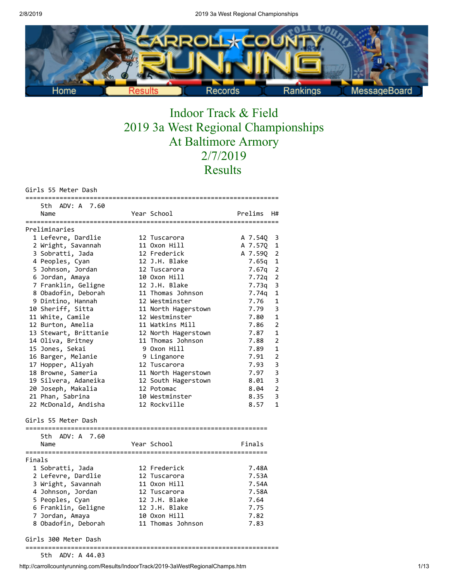

# Indoor Track & Field 2019 3a West Regional Championships At Baltimore Armory 2/7/2019 Results

Girls 55 Meter Dash

|        | וסט חינכ              |                     |         |                         |
|--------|-----------------------|---------------------|---------|-------------------------|
|        | 5th ADV: A 7.60       |                     |         |                         |
|        | Name                  | Year School         | Prelims | H#                      |
|        | Preliminaries         |                     |         |                         |
|        | 1 Lefevre, Dardlie    | 12 Tuscarora        | A 7.54Q | 3                       |
|        | 2 Wright, Savannah    | 11 Oxon Hill        | A 7.57Q | 1                       |
|        | 3 Sobratti, Jada      | 12 Frederick        | A 7.59Q | 2                       |
|        | 4 Peoples, Cyan       | 12 J.H. Blake       | 7.65g   | $\mathbf 1$             |
|        | 5 Johnson, Jordan     | 12 Tuscarora        | 7.67q   | $\overline{2}$          |
|        | 6 Jordan, Amaya       | 10 Oxon Hill        | 7.72q   | $\overline{2}$          |
|        | 7 Franklin, Geligne   | 12 J.H. Blake       | 7.73q   | 3                       |
|        | 8 Obadofin, Deborah   | 11 Thomas Johnson   | 7.74g   | $\mathbf 1$             |
|        | 9 Dintino, Hannah     | 12 Westminster      | 7.76    | 1                       |
|        | 10 Sheriff, Sitta     | 11 North Hagerstown | 7.79    | 3                       |
|        | 11 White, Camile      | 12 Westminster      | 7.80    | 1                       |
|        | 12 Burton, Amelia     | 11 Watkins Mill     | 7.86    | $\overline{2}$          |
|        | 13 Stewart, Brittanie | 12 North Hagerstown | 7.87    | $\mathbf{1}$            |
|        | 14 Oliva, Britney     | 11 Thomas Johnson   | 7.88    | $\overline{2}$          |
|        | 15 Jones, Sekai       | 9 Oxon Hill         | 7.89    | 1                       |
|        | 16 Barger, Melanie    | 9 Linganore         | 7.91    | $\overline{2}$          |
|        | 17 Hopper, Aliyah     | 12 Tuscarora        | 7.93    | 3                       |
|        | 18 Browne, Sameria    | 11 North Hagerstown | 7.97    | 3                       |
|        | 19 Silvera, Adaneika  | 12 South Hagerstown | 8.01    | 3                       |
|        | 20 Joseph, Makalia    | 12 Potomac          | 8.04    | $\overline{2}$          |
|        | 21 Phan, Sabrina      | 10 Westminster      | 8.35    | $\overline{\mathbf{3}}$ |
|        | 22 McDonald, Andisha  | 12 Rockville        | 8.57    | $\mathbf{1}$            |
|        | Girls 55 Meter Dash   |                     |         |                         |
|        | 5th ADV: A 7.60       |                     |         |                         |
|        | Name                  | Year School         | Finals  |                         |
|        |                       |                     |         |                         |
| Finals |                       |                     |         |                         |
|        | 1 Sobratti, Jada      | 12 Frederick        | 7.48A   |                         |
|        | 2 Lefevre, Dardlie    | 12 Tuscarora        | 7.53A   |                         |
|        | 3 Wright, Savannah    | 11 Oxon Hill        | 7.54A   |                         |
|        | 4 Johnson, Jordan     | 12 Tuscarora        | 7.58A   |                         |
|        | 5 Peoples, Cyan       | 12 J.H. Blake       | 7.64    |                         |
|        | 6 Franklin, Geligne   | 12 J.H. Blake       | 7.75    |                         |
|        | 7 Jordan, Amaya       | 10 Oxon Hill        | 7.82    |                         |
|        | 8 Obadofin, Deborah   | 11 Thomas Johnson   | 7.83    |                         |
|        | Girls 300 Meter Dash  |                     |         |                         |

===================================================================

5th ADV: A 44.03

http://carrollcountyrunning.com/Results/IndoorTrack/2019-3aWestRegionalChamps.htm 1/13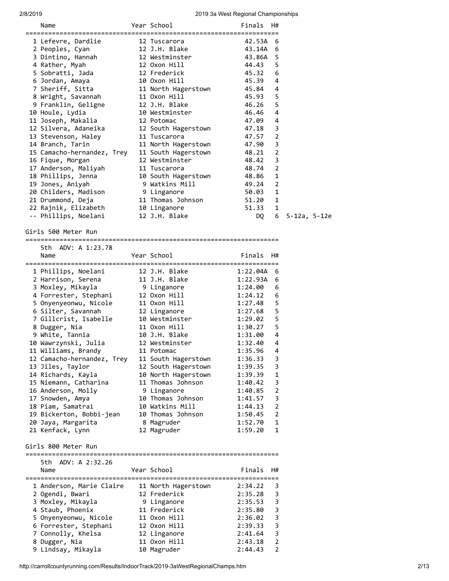| <b>014019</b> |                                               |                                      | zu is Ja vvest Negiunai Ghampiunships |                     |              |  |
|---------------|-----------------------------------------------|--------------------------------------|---------------------------------------|---------------------|--------------|--|
|               | Name                                          | Year School                          | Finals                                | H#                  |              |  |
|               | 1 Lefevre, Dardlie                            | 12 Tuscarora                         | 42.53A                                | 6                   |              |  |
|               | 2 Peoples, Cyan                               | 12 J.H. Blake                        | 43.14A 6                              |                     |              |  |
|               | 3 Dintino, Hannah                             | 12 Westminster                       | 43.86A                                | 5                   |              |  |
|               | 4 Rather, Myah                                | 12 Oxon Hill                         | 44.43                                 | 5                   |              |  |
|               | 5 Sobratti, Jada                              | 12 Frederick                         | 45.32                                 | 6                   |              |  |
|               | 6 Jordan, Amaya                               | 10 Oxon Hill                         | 45.39                                 | 4                   |              |  |
|               | 7 Sheriff, Sitta<br>8 Wright, Savannah        | 11 North Hagerstown<br>11 Oxon Hill  | 45.84<br>45.93                        | 4<br>5              |              |  |
|               | 9 Franklin, Geligne                           | 12 J.H. Blake                        | 46.26                                 | 5                   |              |  |
|               | 10 Houle, Lydia                               | 10 Westminster                       | 46.46                                 | 4                   |              |  |
|               | 11 Joseph, Makalia                            | 12 Potomac                           | 47.09                                 | 4                   |              |  |
|               | 12 Silvera, Adaneika                          | 12 South Hagerstown                  | 47.18                                 | 3                   |              |  |
|               | 13 Stevenson, Haley                           | 11 Tuscarora                         | 47.57                                 | $\overline{2}$      |              |  |
|               | 14 Branch, Tarin                              | 11 North Hagerstown                  | 47.90                                 | 3                   |              |  |
|               | 15 Camacho-hernandez, Trey                    | 11 South Hagerstown                  | 48.21                                 | $\overline{2}$      |              |  |
|               | 16 Fique, Morgan                              | 12 Westminster                       | 48.42                                 | 3                   |              |  |
|               | 17 Anderson, Maliyah                          | 11 Tuscarora                         | 48.74                                 | $\overline{2}$      |              |  |
|               | 18 Phillips, Jenna                            | 10 South Hagerstown                  | 48.86                                 | 1<br>2              |              |  |
|               | 19 Jones, Aniyah<br>20 Childers, Madison      | 9 Watkins Mill<br>9 Linganore        | 49.24<br>50.03                        | 1                   |              |  |
|               | 21 Drummond, Deja                             | 11 Thomas Johnson                    | 51.20                                 | 1                   |              |  |
|               | 22 Rajnik, Elizabeth                          | 10 Linganore                         | 51.33                                 | 1                   |              |  |
|               | -- Phillips, Noelani                          | 12 J.H. Blake                        | DQ                                    | 6                   | 5-12a, 5-12e |  |
|               | Girls 500 Meter Run                           |                                      |                                       |                     |              |  |
|               | 5th ADV: A 1:23.78                            |                                      |                                       |                     |              |  |
|               | Name                                          | Year School                          | Finals                                | H#                  |              |  |
|               |                                               |                                      |                                       |                     |              |  |
|               | 1 Phillips, Noelani                           | 12 J.H. Blake                        | 1:22.04A                              | 6                   |              |  |
|               | 2 Harrison, Serena                            | 11 J.H. Blake                        | 1:22.93A                              | 6                   |              |  |
|               | 3 Moxley, Mikayla<br>4 Forrester, Stephani    | 9 Linganore<br>12 Oxon Hill          | 1:24.00<br>1:24.12                    | 6<br>6              |              |  |
|               | 5 Onyenyeonwu, Nicole                         | 11 Oxon Hill                         | 1:27.48                               | 5                   |              |  |
|               | 6 Silter, Savannah                            | 12 Linganore                         | 1:27.68                               | 5                   |              |  |
|               | 7 Gillcrist, Isabelle                         | 10 Westminster                       | 1:29.02                               | 5                   |              |  |
|               | 8 Dugger, Nia                                 | 11 Oxon Hill                         | 1:30.27                               | 5                   |              |  |
|               | 9 White, Tannia                               | 10 J.H. Blake                        | 1:31.00                               | 4                   |              |  |
|               | 10 Wawrzynski, Julia                          | 12 Westminster                       | 1:32.40                               | 4                   |              |  |
|               | 11 Williams, Brandy                           | 11 Potomac                           | 1:35.96                               | 4                   |              |  |
|               | 12 Camacho-hernandez, Trey                    | 11 South Hagerstown                  | 1:36.33                               | 3                   |              |  |
|               | 13 Jiles, Taylor                              | 12 South Hagerstown                  | 1:39.35                               | 3                   |              |  |
|               | 14 Richards, Kayla                            | 10 North Hagerstown                  | 1:39.39                               | $\mathbf{1}$        |              |  |
|               | 15 Niemann, Catharina                         | 11 Thomas Johnson                    | 1:40.42                               | 3                   |              |  |
|               | 16 Anderson, Molly                            | 9 Linganore                          | 1:40.85                               | $\overline{2}$      |              |  |
|               | 17 Snowden, Amya                              | 10 Thomas Johnson                    | 1:41.57                               | 3                   |              |  |
|               | 18 Piam, Samatrai<br>19 Bickerton, Bobbi-jean | 10 Watkins Mill<br>10 Thomas Johnson | 1:44.13<br>1:50.45                    | $\overline{2}$<br>2 |              |  |
|               | 20 Jaya, Margarita                            | 8 Magruder                           | 1:52.70                               | 1                   |              |  |
|               | 21 Kenfack, Lynn                              | 12 Magruder                          | 1:59.20                               | 1                   |              |  |
|               | Girls 800 Meter Run                           |                                      |                                       |                     |              |  |
|               | 5th ADV: A 2:32.26                            |                                      |                                       |                     |              |  |
|               | Name                                          | Year School                          | Finals                                | H#                  |              |  |
|               | 1 Anderson, Marie Claire                      | 11 North Hagerstown                  | 2:34.22                               | 3                   |              |  |
|               | 2 Ogendi, Bwari                               | 12 Frederick                         | 2:35.28                               | 3                   |              |  |
|               | 3 Moxley, Mikayla                             | 9 Linganore                          | 2:35.53                               | 3                   |              |  |
|               | 4 Staub, Phoenix                              | 11 Frederick                         | 2:35.80                               | 3                   |              |  |
|               | 5 Onyenyeonwu, Nicole                         | 11 Oxon Hill                         | 2:36.02                               | 3                   |              |  |
|               | 6 Forrester, Stephani                         | 12 Oxon Hill                         | 2:39.33                               | 3                   |              |  |
|               | 7 Connolly, Khelsa                            | 12 Linganore                         | 2:41.64                               | 3<br>$\overline{2}$ |              |  |
|               | 8 Dugger, Nia<br>9 Lindsay, Mikayla           | 11 Oxon Hill<br>10 Magruder          | 2:43.18<br>2:44.43                    | 2                   |              |  |
|               |                                               |                                      |                                       |                     |              |  |

http://carrollcountyrunning.com/Results/IndoorTrack/2019-3aWestRegionalChamps.htm 2/13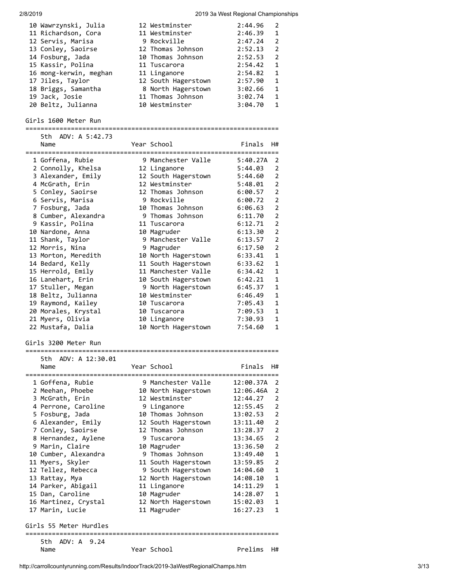| 10 Wawrzynski, Julia                | 12 Westminster                        | 2:44.96               | 2              |
|-------------------------------------|---------------------------------------|-----------------------|----------------|
| 11 Richardson, Cora                 | 11 Westminster                        | 2:46.39               | 1              |
| 12 Servis, Marisa                   | 9 Rockville                           | 2:47.24               | $\overline{2}$ |
| 13 Conley, Saoirse                  | 12 Thomas Johnson                     | 2:52.13               | $\overline{2}$ |
| 14 Fosburg, Jada                    | 10 Thomas Johnson                     | 2:52.53               | $\overline{2}$ |
| 15 Kassir, Polina                   | 11 Tuscarora                          | 2:54.42               | $\mathbf{1}$   |
| 16 mong-kerwin, meghan              | 11 Linganore                          | 2:54.82               | 1              |
| 17 Jiles, Taylor                    | 12 South Hagerstown                   | 2:57.90               | $\mathbf{1}$   |
| 18 Briggs, Samantha                 | 8 North Hagerstown                    | 3:02.66               | $\mathbf{1}$   |
| 19 Jack, Josie                      | 11 Thomas Johnson                     | 3:02.74               | 1              |
| 20 Beltz, Julianna                  | 10 Westminster                        | 3:04.70               | 1              |
| Girls 1600 Meter Run                |                                       |                       |                |
| 5th ADV: A 5:42.73                  |                                       |                       |                |
| Name                                | Year School                           | Finals                | H#             |
|                                     |                                       |                       |                |
| 1 Goffena, Rubie                    | 9 Manchester Valle                    | 5:40.27A              | 2              |
| 2 Connolly, Khelsa                  | 12 Linganore                          | 5:44.03               | $\overline{2}$ |
| 3 Alexander, Emily                  | 12 South Hagerstown                   | 5:44.60               | $\overline{2}$ |
| 4 McGrath, Erin                     | 12 Westminster                        | 5:48.01               | $\overline{2}$ |
| 5 Conley, Saoirse                   | 12 Thomas Johnson                     | 6:00.57               | $\overline{2}$ |
| 6 Servis, Marisa                    | 9 Rockville                           | 6:00.72               | $\overline{2}$ |
| 7 Fosburg, Jada                     | 10 Thomas Johnson                     | 6:06.63               | $\overline{2}$ |
| 8 Cumber, Alexandra                 | 9 Thomas Johnson                      | 6:11.70               | $\overline{2}$ |
| 9 Kassir, Polina                    | 11 Tuscarora                          | 6:12.71               | $\overline{2}$ |
| 10 Nardone, Anna                    | 10 Magruder                           | 6:13.30               | $\overline{2}$ |
| 11 Shank, Taylor                    | 9 Manchester Valle                    | 6:13.57               | $\overline{2}$ |
| 12 Morris, Nina                     | 9 Magruder                            | 6:17.50               | $\overline{2}$ |
| 13 Morton, Meredith                 | 10 North Hagerstown                   | 6:33.41               | $\mathbf{1}$   |
| 14 Bedard, Kelly                    | 11 South Hagerstown                   | 6:33.62               | 1              |
| 15 Herrold, Emily                   | 11 Manchester Valle                   | 6:34.42               | 1              |
| 16 Lanehart, Erin                   | 10 South Hagerstown                   | 6:42.21               | 1              |
| 17 Stuller, Megan                   | 9 North Hagerstown                    | 6:45.37               | $\mathbf{1}$   |
| 18 Beltz, Julianna                  | 10 Westminster                        | 6:46.49               | 1              |
| 19 Raymond, Kailey                  | 10 Tuscarora                          | 7:05.43               | 1              |
| 20 Morales, Krystal                 | 10 Tuscarora                          | 7:09.53               | $\mathbf{1}$   |
| 21 Myers, Olivia                    | 10 Linganore                          | 7:30.93               | 1              |
| 22 Mustafa, Dalia                   | 10 North Hagerstown                   | 7:54.60               | $\mathbf{1}$   |
| Girls 3200 Meter Run                |                                       |                       |                |
| ADV: A 12:30.01<br>5th.             |                                       |                       |                |
| Name                                | Year School                           | Finals                | H#             |
|                                     |                                       |                       |                |
| 1 Goffena, Rubie                    | 9 Manchester Valle                    | 12:00.37A             | 2<br>2         |
| 2 Meehan, Phoebe<br>3 McGrath, Erin | 10 North Hagerstown<br>12 Westminster | 12:06.46A<br>12:44.27 | 2              |
| 4 Perrone, Caroline                 | 9 Linganore                           | 12:55.45              | $\overline{2}$ |
| 5 Fosburg, Jada                     | 10 Thomas Johnson                     | 13:02.53              | $\overline{2}$ |
| 6 Alexander, Emily                  | 12 South Hagerstown                   | 13:11.40              | 2              |
| 7 Conley, Saoirse                   | 12 Thomas Johnson                     | 13:28.37              | $\overline{2}$ |
| 8 Hernandez, Aylene                 | 9 Tuscarora                           | 13:34.65              | 2              |
| 9 Marin, Claire                     | 10 Magruder                           | 13:36.50              | $\overline{2}$ |
| 10 Cumber, Alexandra                | 9 Thomas Johnson                      | 13:49.40              | 1              |
| 11 Myers, Skyler                    | 11 South Hagerstown                   | 13:59.85              | 2              |
| 12 Tellez, Rebecca                  | 9 South Hagerstown                    | 14:04.60              | 1              |
| 13 Rattay, Mya                      | 12 North Hagerstown                   | 14:08.10              | 1              |
| 14 Parker, Abigail                  | 11 Linganore                          | 14:11.29              | 1              |
| 15 Dan, Caroline                    | 10 Magruder                           | 14:28.07              | 1              |
| 16 Martinez, Crystal                | 12 North Hagerstown                   | 15:02.03              | 1              |
| 17 Marin, Lucie                     | 11 Magruder                           | 16:27.23              | 1              |
| Girls 55 Meter Hurdles              |                                       |                       |                |
|                                     |                                       |                       |                |
| 5th ADV: A 9.24                     |                                       |                       |                |
| Name                                | Year School                           | Prelims               | H#             |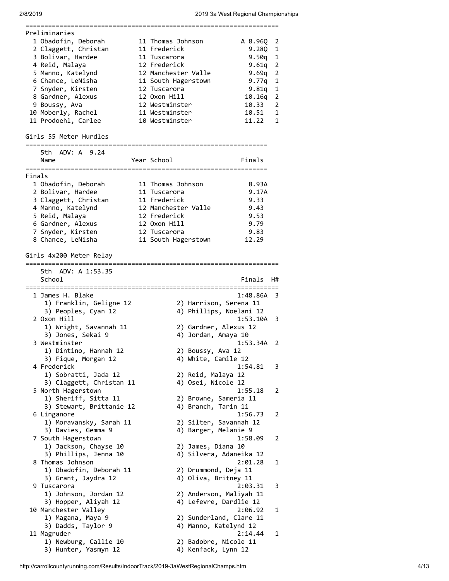|        | =======================                       | ================<br>=======================  |          |                            |
|--------|-----------------------------------------------|----------------------------------------------|----------|----------------------------|
|        | Preliminaries                                 |                                              |          |                            |
|        | 1 Obadofin, Deborah                           | 11 Thomas Johnson                            | A 8.96Q  | 2                          |
|        | 2 Claggett, Christan                          | 11 Frederick                                 | 9.280    | 1                          |
|        | 3 Bolivar, Hardee                             | 11 Tuscarora                                 | 9.50q    | 1                          |
|        | 4 Reid, Malaya                                | 12 Frederick                                 | 9.61q    | $\overline{2}$             |
|        | 5 Manno, Katelynd                             | 12 Manchester Valle                          | 9.69g    | $\overline{2}$             |
|        | 6 Chance, LeNisha                             |                                              | 9.77q    | 1                          |
|        |                                               | 11 South Hagerstown                          |          | 1                          |
|        | 7 Snyder, Kirsten                             | 12 Tuscarora                                 | 9.81q    |                            |
|        | 8 Gardner, Alexus                             | 12 Oxon Hill                                 | 10.16q   | $\overline{2}$             |
|        | 9 Boussy, Ava                                 | 12 Westminster                               | 10.33    | 2                          |
|        | 10 Moberly, Rachel                            | 11 Westminster                               | 10.51    | 1                          |
|        | 11 Prodoehl, Carlee                           | 10 Westminster                               | 11.22    | 1                          |
|        | Girls 55 Meter Hurdles                        |                                              |          |                            |
|        | 5th ADV: A 9.24                               |                                              |          |                            |
|        | Name                                          | Year School                                  | Finals   |                            |
|        |                                               |                                              |          |                            |
| Finals |                                               |                                              |          |                            |
|        | 1 Obadofin, Deborah                           | 11 Thomas Johnson                            | 8.93A    |                            |
|        | 2 Bolivar, Hardee                             | 11 Tuscarora                                 | 9.17A    |                            |
|        | 3 Claggett, Christan                          |                                              | 9.33     |                            |
|        |                                               | 11 Frederick                                 |          |                            |
|        | 4 Manno, Katelynd                             | 12 Manchester Valle                          | 9.43     |                            |
|        | 5 Reid, Malaya                                | 12 Frederick                                 | 9.53     |                            |
|        | 6 Gardner, Alexus                             | 12 Oxon Hill                                 | 9.79     |                            |
|        | 7 Snyder, Kirsten                             | 12 Tuscarora                                 | 9.83     |                            |
|        | 8 Chance, LeNisha                             | 11 South Hagerstown                          | 12.29    |                            |
|        | Girls 4x200 Meter Relay                       |                                              |          |                            |
|        |                                               |                                              |          |                            |
|        | 5th ADV: A 1:53.35<br>School                  |                                              | Finals   | H#                         |
|        |                                               |                                              |          |                            |
|        | 1 James H. Blake                              |                                              |          |                            |
|        |                                               |                                              | 1:48.86A | 3                          |
|        | 1) Franklin, Geligne 12                       | 2) Harrison, Serena 11                       |          |                            |
|        | 3) Peoples, Cyan 12                           | 4) Phillips, Noelani 12                      |          |                            |
|        | 2 Oxon Hill                                   |                                              | 1:53.10A | 3                          |
|        |                                               |                                              |          |                            |
|        | 1) Wright, Savannah 11                        | 2) Gardner, Alexus 12                        |          |                            |
|        | 3) Jones, Sekai 9                             | 4) Jordan, Amaya 10                          |          |                            |
|        | 3 Westminster                                 |                                              | 1:53.34A | $\overline{\phantom{0}}^2$ |
|        | 1) Dintino, Hannah 12                         | 2) Boussy, Ava 12                            |          |                            |
|        | 3) Fique, Morgan 12                           | 4) White, Camile 12                          |          |                            |
|        | 4 Frederick                                   |                                              | 1:54.81  | 3                          |
|        | 1) Sobratti, Jada 12                          | 2) Reid, Malaya 12                           |          |                            |
|        | 3) Claggett, Christan 11                      | 4) Osei, Nicole 12                           |          |                            |
|        | 5 North Hagerstown                            |                                              | 1:55.18  | 2                          |
|        | 1) Sheriff, Sitta 11                          | 2) Browne, Sameria 11                        |          |                            |
|        |                                               | 4) Branch, Tarin 11                          |          |                            |
|        | 3) Stewart, Brittanie 12                      |                                              |          | 2                          |
|        | 6 Linganore                                   |                                              | 1:56.73  |                            |
|        | 1) Moravansky, Sarah 11                       | 2) Silter, Savannah 12                       |          |                            |
|        | 3) Davies, Gemma 9                            | 4) Barger, Melanie 9                         |          |                            |
|        | 7 South Hagerstown                            |                                              | 1:58.09  | 2                          |
|        | 1) Jackson, Chayse 10                         | 2) James, Diana 10                           |          |                            |
|        | 3) Phillips, Jenna 10                         | 4) Silvera, Adaneika 12                      |          |                            |
|        | 8 Thomas Johnson                              |                                              | 2:01.28  | 1                          |
|        | 1) Obadofin, Deborah 11                       | 2) Drummond, Deja 11                         |          |                            |
|        | 3) Grant, Jaydra 12                           | 4) Oliva, Britney 11                         |          |                            |
|        | 9 Tuscarora                                   |                                              | 2:03.31  | 3                          |
|        |                                               |                                              |          |                            |
|        | 1) Johnson, Jordan 12                         | 2) Anderson, Maliyah 11                      |          |                            |
|        | 3) Hopper, Aliyah 12                          | 4) Lefevre, Dardlie 12                       |          |                            |
|        | 10 Manchester Valley                          |                                              | 2:06.92  | 1                          |
|        | 1) Magana, Maya 9                             | 2) Sunderland, Clare 11                      |          |                            |
|        | 3) Dadds, Taylor 9                            | 4) Manno, Katelynd 12                        |          |                            |
|        | 11 Magruder                                   |                                              | 2:14.44  | 1                          |
|        | 1) Newburg, Callie 10<br>3) Hunter, Yasmyn 12 | 2) Badobre, Nicole 11<br>4) Kenfack, Lynn 12 |          |                            |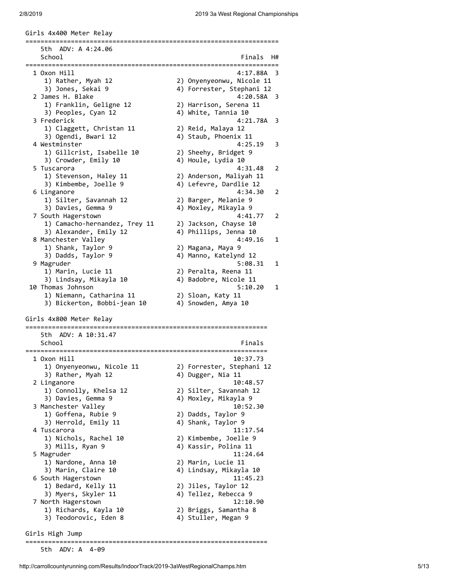Girls 4x400 Meter Relay =================================================================== 5th ADV: A 4:24.06 School **Finals** H# =================================================================== 1 Oxon Hill 4:17.88A 3 1) Rather, Myah 12 2) Onyenyeonwu, Nicole 11 3) Jones, Sekai 9 4) Forrester, Stephani 12 2 James H. Blake 4:20.58A 3 1) Franklin, Geligne 12 2) Harrison, Serena 11 3) Peoples, Cyan 12 4) White, Tannia 10 3 Frederick 4:21.78A 3 1) Claggett, Christan 11 2) Reid, Malaya 12 3) Ogendi, Bwari 12 (4) Staub, Phoenix 11 4 Westminster 4:25.19 3 1) Gillcrist, Isabelle 10 2) Sheehy, Bridget 9 3) Crowder, Emily 10 4) Houle, Lydia 10 5 Tuscarora 4:31.48 2 1) Stevenson, Haley 11 2) Anderson, Maliyah 11 3) Kimbembe, Joelle 9 4) Lefevre, Dardlie 12 6 Linganore 4:34.30 2 1) Silter, Savannah 12 2) Barger, Melanie 9 3) Davies, Gemma 9 4) Moxley, Mikayla 9 7 South Hagerstown 4:41.77 2 1) Camacho-hernandez, Trey 11 2) Jackson, Chayse 10 3) Alexander, Emily 12 4) Phillips, Jenna 10 8 Manchester Valley 4:49.16 1 1) Shank, Taylor 9 2) Magana, Maya 9 3) Dadds, Taylor 9 4) Manno, Katelynd 12 9 Magruder 5:08.31 1 1) Marin, Lucie 11 2) Peralta, Reena 11 3) Lindsay, Mikayla 10 4) Badobre, Nicole 11 10 Thomas Johnson 5:10.20 1 1) Niemann, Catharina 11 2) Sloan, Katy 11 3) Bickerton, Bobbi-jean 10 4) Snowden, Amya 10 Girls 4x800 Meter Relay ================================================================ 5th ADV: A 10:31.47 School Finals ================================================================ 1 Oxon Hill 10:37.73 1) Onyenyeonwu, Nicole 11 2) Forrester, Stephani 12 3) Rather, Myah 12 4) Dugger, Nia 11 2 Linganore 10:48.57 1) Connolly, Khelsa 12 2) Silter, Savannah 12 3) Davies, Gemma 9 4) Moxley, Mikayla 9 3 Manchester Valley 10:52.30 1) Goffena, Rubie 9 2) Dadds, Taylor 9 3) Herrold, Emily 11 4) Shank, Taylor 9 4 Tuscarora 11:17.54 1) Nichols, Rachel 10 2) Kimbembe, Joelle 9 3) Mills, Ryan 9 4) Kassir, Polina 11 5 Magruder 11:24.64 1) Nardone, Anna 10 2) Marin, Lucie 11 3) Marin, Claire 10 4) Lindsay, Mikayla 10 6 South Hagerstown 11:45.23 1) Bedard, Kelly 11 2) Jiles, Taylor 12 3) Myers, Skyler 11 4) Tellez, Rebecca 9 7 North Hagerstown 12:10.90 1) Richards, Kayla 10 2) Briggs, Samantha 8 3) Teodorovic, Eden 8 4) Stuller, Megan 9 Girls High Jump

5th ADV: A 4-09

================================================================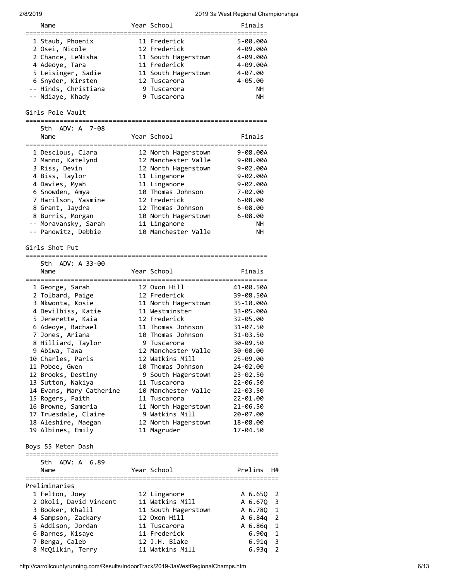| Name                                                 | Year School                         | Finals                    |
|------------------------------------------------------|-------------------------------------|---------------------------|
| 1 Staub, Phoenix                                     | 11 Frederick                        | 5-00.00A                  |
| 2 Osei, Nicole                                       | 12 Frederick                        | 4-09.00A                  |
| 2 Chance, LeNisha                                    | 11 South Hagerstown                 | 4-09.00A                  |
| 4 Adeoye, Tara                                       | 11 Frederick                        | 4-09.00A                  |
| 5 Leisinger, Sadie                                   | 11 South Hagerstown                 | $4 - 07.00$               |
| 6 Snyder, Kirsten                                    | 12 Tuscarora                        | 4-05.00                   |
| -- Hinds, Christiana                                 | 9 Tuscarora                         | NH.                       |
| -- Ndiaye, Khady                                     | 9 Tuscarora                         | NН                        |
| Girls Pole Vault                                     |                                     |                           |
| 5th ADV: A 7-08                                      |                                     |                           |
| Name                                                 | Year School                         | Finals                    |
| ========================                             |                                     |                           |
| 1 Desclous, Clara                                    | 12 North Hagerstown                 | 9-08.00A                  |
| 2 Manno, Katelynd                                    | 12 Manchester Valle                 | $9 - 08.00A$              |
| 3 Riss, Devin                                        | 12 North Hagerstown                 | 9-02.00A                  |
| 4 Biss, Taylor                                       | 11 Linganore                        | $9 - 02.00A$              |
| 4 Davies, Myah                                       | 11 Linganore                        | $9 - 02.00A$              |
| 6 Snowden, Amya                                      | 10 Thomas Johnson                   | $7 - 02.00$               |
| 7 Harilson, Yasmine                                  | 12 Frederick                        | $6 - 08.00$               |
| 8 Grant, Jaydra                                      | 12 Thomas Johnson                   | $6 - 08.00$               |
| 8 Burris, Morgan                                     | 10 North Hagerstown                 | $6 - 08.00$               |
| -- Moravansky, Sarah                                 | 11 Linganore                        | NН                        |
| -- Panowitz, Debbie                                  | 10 Manchester Valle                 | NΗ                        |
| Girls Shot Put<br>================================== | :==============================     |                           |
| 5th ADV: A 33-00                                     |                                     |                           |
| Name                                                 | Year School                         | Finals                    |
| 1 George, Sarah                                      | 12 Oxon Hill                        | 41-00.50A                 |
| 2 Tolbard, Paige                                     | 12 Frederick                        | 39-08.50A                 |
| 3 Nkwonta, Kosie                                     | 11 North Hagerstown                 | 35-10.00A                 |
| 4 Devilbiss, Katie                                   | 11 Westminster                      | 33-05.00A                 |
| 5 Jenerette, Kaia                                    | 12 Frederick                        | 32-05.00                  |
| 6 Adeoye, Rachael                                    | 11 Thomas Johnson                   | $31 - 07.50$              |
| 7 Jones, Ariana                                      | 10 Thomas Johnson                   | 31-03.50                  |
| 8 Hilliard, Taylor                                   | 9 Tuscarora                         | 30-09.50                  |
| 9 Abiwa, Tawa                                        | 12 Manchester Valle                 | 30-00.00                  |
| 10 Charles, Paris                                    | 12 Watkins Mill                     | 25-09.00                  |
| 11 Pobee, Gwen                                       | 10 Thomas Johnson                   | 24-02.00                  |
| 12 Brooks, Destiny                                   | 9 South Hagerstown                  | 23-02.50                  |
| 13 Sutton, Nakiya                                    | 11 Tuscarora                        | 22-06.50                  |
| 14 Evans, Mary Catherine                             | 10 Manchester Valle                 | 22-03.50                  |
| 15 Rogers, Faith                                     | 11 Tuscarora                        | 22-01.00                  |
| 16 Browne, Sameria                                   | 11 North Hagerstown                 | 21-06.50                  |
| 17 Truesdale, Claire                                 | 9 Watkins Mill                      | 20-07.00                  |
| 18 Aleshire, Maegan                                  | 12 North Hagerstown                 | 18-08.00                  |
| 19 Albines, Emily                                    | 11 Magruder                         | 17-04.50                  |
| Boys 55 Meter Dash<br>:==========================    | :================================== |                           |
| 5th ADV: A 6.89                                      |                                     |                           |
| Name                                                 | Year School                         | Prelims<br>H#             |
|                                                      |                                     |                           |
| Preliminaries                                        |                                     |                           |
| 1 Felton, Joey                                       | 12 Linganore                        | A 6.65Q<br>$\overline{2}$ |
| 2 Okoli, David Vincent                               | 11 Watkins Mill                     | 3<br>A 6.67Q              |
| 3 Booker, Khalil                                     | 11 South Hagerstown                 | $\mathbf{1}$<br>A 6.78Q   |
| 4 Sampson, Zackary                                   | 12 Oxon Hill                        | $\overline{2}$<br>A 6.84q |
| 5 Addison, Jordan                                    | 11 Tuscarora                        | $\mathbf{1}$<br>A 6.86q   |
| 6 Barnes, Kisaye                                     | 11 Frederick                        | 1<br>6.90q                |
| 7 Benga, Caleb                                       | 12 J.H. Blake                       | 3<br>6.91q                |
| 8 McQilkin, Terry                                    | 11 Watkins Mill                     | 2<br>6.93q                |

http://carrollcountyrunning.com/Results/IndoorTrack/2019-3aWestRegionalChamps.htm 6/13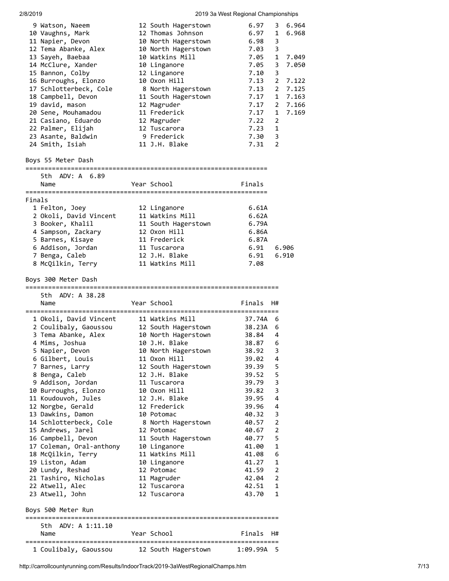| 9 Watson, Naeem          | 12 South Hagerstown | 6.97       |                | 3 6.964 |
|--------------------------|---------------------|------------|----------------|---------|
| 10 Vaughns, Mark         | 12 Thomas Johnson   | 6.97       | $\mathbf{1}$   | 6.968   |
| 11 Napier, Devon         | 10 North Hagerstown | 6.98       | 3              |         |
| 12 Tema Abanke, Alex     | 10 North Hagerstown | 7.03       | 3              |         |
| 13 Sayeh, Baebaa         | 10 Watkins Mill     | 7.05       | $\mathbf{1}$   | 7.049   |
|                          |                     |            |                |         |
| 14 McClure, Xander       | 10 Linganore        | 7.05       | 3              | 7.050   |
| 15 Bannon, Colby         | 12 Linganore        | 7.10       | 3              |         |
| 16 Burroughs, Elonzo     | 10 Oxon Hill        | 7.13       | $2^{\circ}$    | 7.122   |
| 17 Schlotterbeck, Cole   | 8 North Hagerstown  | 7.13       | $\mathbf{2}$   | 7.125   |
| 18 Campbell, Devon       | 11 South Hagerstown | 7.17       | $\mathbf{1}$   | 7.163   |
| 19 david, mason          | 12 Magruder         | 7.17       | $\mathbf{2}$   | 7.166   |
| 20 Sene, Mouhamadou      | 11 Frederick        | 7.17       | $\mathbf{1}$   | 7.169   |
| 21 Casiano, Eduardo      | 12 Magruder         | 7.22       | $\overline{2}$ |         |
| 22 Palmer, Elijah        | 12 Tuscarora        | 7.23       | 1              |         |
| 23 Asante, Baldwin       | 9 Frederick         | 7.30       | -3             |         |
|                          | 11 J.H. Blake       | $7.31$ 2   |                |         |
| 24 Smith, Isiah          |                     |            |                |         |
| Boys 55 Meter Dash       |                     |            |                |         |
| 5th ADV: A 6.89          |                     |            |                |         |
| Name                     | Year School         | Finals     |                |         |
|                          |                     |            |                |         |
| Finals                   |                     |            |                |         |
| 1 Felton, Joey           | 12 Linganore        | 6.61A      |                |         |
| 2 Okoli, David Vincent   | 11 Watkins Mill     | 6.62A      |                |         |
| 3 Booker, Khalil         | 11 South Hagerstown | 6.79A      |                |         |
| 4 Sampson, Zackary       | 12 Oxon Hill        | 6.86A      |                |         |
| 5 Barnes, Kisaye         | 11 Frederick        | 6.87A      |                |         |
|                          |                     |            |                |         |
| 6 Addison, Jordan        | 11 Tuscarora        | 6.91       |                | 6.906   |
| 7 Benga, Caleb           | 12 J.H. Blake       | 6.91       |                | 6.910   |
| 8 McQilkin, Terry        | 11 Watkins Mill     | 7.08       |                |         |
| Boys 300 Meter Dash      |                     |            |                |         |
|                          |                     |            |                |         |
|                          |                     |            |                |         |
| 5th ADV: A 38.28         |                     |            |                |         |
| Name                     | Year School         | Finals     | - H#           |         |
|                          |                     |            |                |         |
| 1 Okoli, David Vincent   | 11 Watkins Mill     | 37.74A 6   |                |         |
| 2 Coulibaly, Gaoussou    | 12 South Hagerstown | 38.23A 6   |                |         |
| 3 Tema Abanke, Alex      | 10 North Hagerstown | 38.84      | 4              |         |
|                          |                     | 38.87      | 6              |         |
| 4 Mims, Joshua           | 10 J.H. Blake       |            |                |         |
| 5 Napier, Devon          | 10 North Hagerstown | 38.92      | 3              |         |
| 6 Gilbert, Louis         | 11 Oxon Hill        | 39.02      | 4              |         |
| 7 Barnes, Larry          | 12 South Hagerstown | 39.39      | 5              |         |
| 8 Benga, Caleb           | 12 J.H. Blake       | 39.52      | 5              |         |
| 9 Addison, Jordan        | 11 Tuscarora        | 39.79      | 3              |         |
| 10 Burroughs, Elonzo     | 10 Oxon Hill        | 39.82      | 3              |         |
| 11 Koudouvoh, Jules      | 12 J.H. Blake       | 39.95      | 4              |         |
| 12 Norgbe, Gerald        | 12 Frederick        | 39.96      | 4              |         |
| 13 Dawkins, Damon        | 10 Potomac          | 40.32      | 3              |         |
| 14 Schlotterbeck, Cole   | 8 North Hagerstown  | 40.57      | $\overline{2}$ |         |
| 15 Andrews, Jarel        | 12 Potomac          | 40.67      | $\overline{2}$ |         |
|                          |                     |            |                |         |
| 16 Campbell, Devon       | 11 South Hagerstown | 40.77      | 5              |         |
| 17 Coleman, Oral-anthony | 10 Linganore        | 41.00      | 1              |         |
| 18 McQilkin, Terry       | 11 Watkins Mill     | 41.08      | 6              |         |
| 19 Liston, Adam          | 10 Linganore        | 41.27      | 1              |         |
| 20 Lundy, Reshad         | 12 Potomac          | 41.59      | $\overline{2}$ |         |
| 21 Tashiro, Nicholas     | 11 Magruder         | 42.04      | $\overline{2}$ |         |
| 22 Atwell, Alec          | 12 Tuscarora        | 42.51      | 1              |         |
| 23 Atwell, John          | 12 Tuscarora        | 43.70      | 1              |         |
| Boys 500 Meter Run       |                     |            |                |         |
|                          |                     |            |                |         |
| 5th ADV: A 1:11.10       |                     |            |                |         |
| Name                     | Year School         | Finals     | H#             |         |
| 1 Coulibaly, Gaoussou    | 12 South Hagerstown | 1:09.99A 5 |                |         |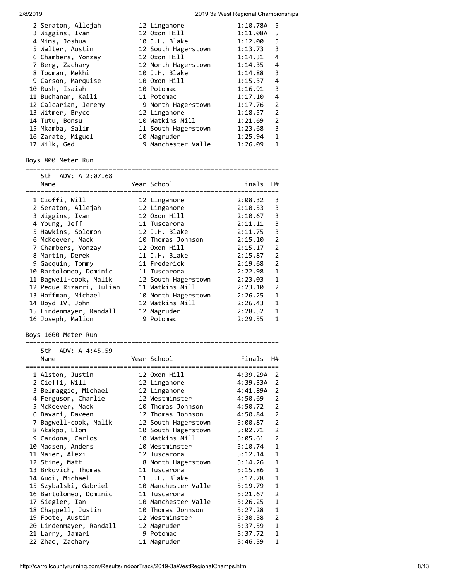| 2/8/2019                 |                     | 2019 3a West Regional Championships |                |
|--------------------------|---------------------|-------------------------------------|----------------|
| 2 Seraton, Allejah       | 12 Linganore        | 1:10.78A                            | 5              |
| 3 Wiggins, Ivan          | 12 Oxon Hill        | 1:11.08A                            | 5              |
| 4 Mims, Joshua           | 10 J.H. Blake       | 1:12.00                             | 5              |
| 5 Walter, Austin         | 12 South Hagerstown | 1:13.73                             | 3              |
| 6 Chambers, Yonzay       | 12 Oxon Hill        | 1:14.31                             | 4              |
| 7 Berg, Zachary          | 12 North Hagerstown | 1:14.35                             | 4              |
| 8 Todman, Mekhi          | 10 J.H. Blake       | 1:14.88                             | 3              |
| 9 Carson, Marquise       | 10 Oxon Hill        | 1:15.37                             | 4              |
| 10 Rush, Isaiah          | 10 Potomac          | 1:16.91                             | 3              |
| 11 Buchanan, Kaili       | 11 Potomac          | 1:17.10                             | 4              |
| 12 Calcarian, Jeremy     | 9 North Hagerstown  | 1:17.76                             | 2              |
| 13 Witmer, Bryce         | 12 Linganore        | 1:18.57                             | 2              |
| 14 Tutu, Bonsu           | 10 Watkins Mill     | 1:21.69                             | $\overline{2}$ |
| 15 Mkamba, Salim         | 11 South Hagerstown | 1:23.68                             | 3              |
| 16 Zarate, Miguel        | 10 Magruder         | 1:25.94                             | 1              |
| 17 Wilk, Ged             | 9 Manchester Valle  | 1:26.09                             | 1              |
|                          |                     |                                     |                |
| Boys 800 Meter Run       |                     |                                     |                |
| 5th ADV: A 2:07.68       |                     |                                     |                |
| Name                     | Year School         | Finals                              | H#             |
| 1 Cioffi, Will           | 12 Linganore        | 2:08.32                             | 3              |
| 2 Seraton, Allejah       | 12 Linganore        | 2:10.53                             | 3              |
| 3 Wiggins, Ivan          | 12 Oxon Hill        | 2:10.67                             | 3              |
| 4 Young, Jeff            | 11 Tuscarora        | 2:11.11                             | 3              |
| 5 Hawkins, Solomon       | 12 J.H. Blake       | 2:11.75                             | 3              |
| 6 McKeever, Mack         | 10 Thomas Johnson   | 2:15.10                             | $\overline{2}$ |
| 7 Chambers, Yonzay       | 12 Oxon Hill        | 2:15.17                             | $\overline{2}$ |
| 8 Martin, Derek          | 11 J.H. Blake       | 2:15.87                             | $\overline{2}$ |
| 9 Gacquin, Tommy         | 11 Frederick        | 2:19.68                             | $\overline{2}$ |
| 10 Bartolomeo, Dominic   | 11 Tuscarora        | 2:22.98                             | 1              |
| 11 Bagwell-cook, Malik   | 12 South Hagerstown | 2:23.03                             | 1              |
| 12 Peque Rizarri, Julian | 11 Watkins Mill     | 2:23.10                             | $\overline{2}$ |
| 13 Hoffman, Michael      | 10 North Hagerstown | 2:26.25                             | 1              |
| 14 Boyd IV, John         | 12 Watkins Mill     | 2:26.43                             | 1              |
| 15 Lindenmayer, Randall  | 12 Magruder         | 2:28.52                             | 1              |
| 16 Joseph, Malion        | 9 Potomac           | 2:29.55                             | 1              |
| Boys 1600 Meter Run      |                     |                                     |                |
|                          |                     |                                     |                |
| 5th.<br>ADV: A 4:45.59   |                     |                                     |                |
| Name                     | Year School         | Finals                              | H#             |
|                          |                     |                                     |                |
| 1 Alston, Justin         | 12 Oxon Hill        | 4:39.29A                            | $\overline{2}$ |
| 2 Cioffi, Will           | 12 Linganore        | 4:39.33A                            | $\overline{2}$ |
| 3 Belmaggio, Michael     | 12 Linganore        | 4:41.89A                            | $\overline{2}$ |
| 4 Ferguson, Charlie      | 12 Westminster      | 4:50.69                             | 2              |
| 5 McKeever, Mack         | 10 Thomas Johnson   | 4:50.72                             | $\overline{2}$ |
| 6 Bavari, Daveen         | 12 Thomas Johnson   | 4:50.84                             | $\overline{2}$ |
| 7 Bagwell-cook, Malik    | 12 South Hagerstown | 5:00.87                             | $\overline{2}$ |
| 8 Akakpo, Elom           | 10 South Hagerstown | 5:02.71                             | $\overline{2}$ |
| 9 Cardona, Carlos        | 10 Watkins Mill     | 5:05.61                             | 2              |
| 10 Madsen, Anders        | 10 Westminster      | 5:10.74                             | 1              |
| 11 Maier, Alexi          | 12 Tuscarora        | 5:12.14                             | 1              |
| 12 Stine, Matt           | 8 North Hagerstown  | 5:14.26                             | 1              |
| 13 Brkovich, Thomas      | 11 Tuscarora        | 5:15.86                             | 1              |
| 14 Audi, Michael         | 11 J.H. Blake       | 5:17.78                             | 1              |
| 15 Szybalski, Gabriel    | 10 Manchester Valle | 5:19.79                             | 1              |
| 16 Bartolomeo, Dominic   | 11 Tuscarora        | 5:21.67                             | $\overline{2}$ |
| 17 Siegler, Ian          | 10 Manchester Valle | 5:26.25                             | 1              |
| 18 Chappell, Justin      | 10 Thomas Johnson   | 5:27.28                             | 1              |
| 19 Foote, Austin         | 12 Westminster      | 5:30.58                             | 2              |
| 20 Lindenmayer, Randall  | 12 Magruder         | 5:37.59                             | 1              |
| 21 Larry, Jamari         | 9 Potomac           | 5:37.72                             | 1              |
| 22 Zhao, Zachary         | 11 Magruder         | 5:46.59                             | 1              |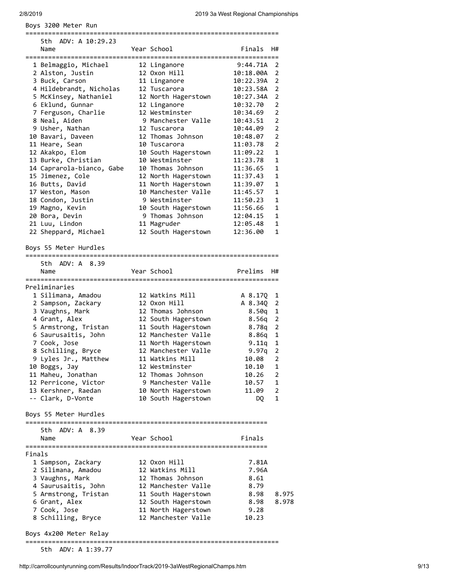|        | Boys 3200 Meter Run                          |                     |           |                |
|--------|----------------------------------------------|---------------------|-----------|----------------|
|        | ADV: A 10:29.23<br>5th.                      |                     |           |                |
|        | Name                                         | Year School         | Finals    | H#             |
|        | 1 Belmaggio, Michael                         | 12 Linganore        | 9:44.71A  | 2              |
|        | 2 Alston, Justin                             | 12 Oxon Hill        | 10:18.00A | $\overline{2}$ |
|        | 3 Buck, Carson                               | 11 Linganore        | 10:22.39A | 2              |
|        | 4 Hildebrandt, Nicholas                      | 12 Tuscarora        | 10:23.58A | 2              |
|        | 5 McKinsey, Nathaniel                        | 12 North Hagerstown | 10:27.34A | $\overline{2}$ |
|        | 6 Eklund, Gunnar                             | 12 Linganore        | 10:32.70  | $\overline{2}$ |
|        | 7 Ferguson, Charlie                          | 12 Westminster      | 10:34.69  | $\overline{2}$ |
|        | 8 Neal, Aiden                                | 9 Manchester Valle  | 10:43.51  | $\overline{2}$ |
|        | 9 Usher, Nathan                              | 12 Tuscarora        | 10:44.09  | $\overline{2}$ |
|        | 10 Bavari, Daveen                            | 12 Thomas Johnson   | 10:48.07  | $\overline{2}$ |
|        | 11 Heare, Sean                               | 10 Tuscarora        | 11:03.78  | $\overline{2}$ |
|        | 12 Akakpo, Elom                              | 10 South Hagerstown | 11:09.22  | 1              |
|        | 13 Burke, Christian                          | 10 Westminster      | 11:23.78  | 1              |
|        | 14 Caprarola-bianco, Gabe                    | 10 Thomas Johnson   | 11:36.65  | 1              |
|        | 15 Jimenez, Cole                             | 12 North Hagerstown | 11:37.43  | $\mathbf{1}$   |
|        | 16 Butts, David                              | 11 North Hagerstown | 11:39.07  | 1              |
|        | 17 Weston, Mason                             | 10 Manchester Valle | 11:45.57  | 1              |
|        | 18 Condon, Justin                            | 9 Westminster       | 11:50.23  | 1              |
|        | 19 Magno, Kevin                              | 10 South Hagerstown | 11:56.66  | 1              |
|        | 20 Bora, Devin                               | 9 Thomas Johnson    | 12:04.15  | 1              |
|        | 21 Luu, Lindon                               | 11 Magruder         | 12:05.48  | 1              |
|        | 22 Sheppard, Michael                         | 12 South Hagerstown | 12:36.00  | 1              |
|        | Boys 55 Meter Hurdles<br>=================== |                     |           |                |
|        | 5th ADV: A 8.39                              |                     |           |                |
|        | Name                                         | Year School         | Prelims   | H#             |
|        | Preliminaries                                |                     |           |                |
|        | 1 Silimana, Amadou                           | 12 Watkins Mill     | A 8.17Q   | 1              |
|        | 2 Sampson, Zackary                           | 12 Oxon Hill        | A 8.34Q   | 2              |
|        | 3 Vaughns, Mark                              | 12 Thomas Johnson   | 8.50q     | 1              |
|        | 4 Grant, Alex                                | 12 South Hagerstown | 8.56q     | 2              |
|        | 5 Armstrong, Tristan                         | 11 South Hagerstown | 8.78q     | $\overline{2}$ |
|        | 6 Saurusaitis, John                          | 12 Manchester Valle | 8.86q     | 1              |
|        | 7 Cook, Jose                                 | 11 North Hagerstown | 9.11q     | 1              |
|        | 8 Schilling, Bryce                           | 12 Manchester Valle | $9.97q$ 2 |                |
|        | 9 Lyles Jr., Matthew                         | 11 Watkins Mill     | 10.08     | 2              |
|        | 10 Boggs, Jay                                | 12 Westminster      | 10.10     | 1              |
|        | 11 Maheu, Jonathan                           | 12 Thomas Johnson   | 10.26     | $\overline{2}$ |
|        | 12 Perricone, Victor                         | 9 Manchester Valle  | 10.57     | 1              |
|        | 13 Kershner, Raedan                          | 10 North Hagerstown | 11.09     | $\overline{2}$ |
|        | -- Clark, D-Vonte                            | 10 South Hagerstown | DQ        | 1              |
|        | Boys 55 Meter Hurdles                        |                     |           |                |
|        | 5th ADV: A 8.39                              |                     |           |                |
|        | Name                                         | Year School         | Finals    |                |
| Finals |                                              |                     |           |                |
|        | 1 Sampson, Zackary                           | 12 Oxon Hill        | 7.81A     |                |
|        | 2 Silimana, Amadou                           | 12 Watkins Mill     | 7.96A     |                |
|        | 3 Vaughns, Mark                              | 12 Thomas Johnson   | 8.61      |                |
|        | 4 Saurusaitis, John                          | 12 Manchester Valle | 8.79      |                |
|        | 5 Armstrong, Tristan                         | 11 South Hagerstown | 8.98      | 8.975          |
|        | 6 Grant, Alex                                | 12 South Hagerstown | 8.98      | 8.978          |
|        | 7 Cook, Jose                                 | 11 North Hagerstown | 9.28      |                |
|        | 8 Schilling, Bryce                           | 12 Manchester Valle | 10.23     |                |
|        | Boys 4x200 Meter Relay                       |                     |           |                |

===================================================================

5th ADV: A 1:39.77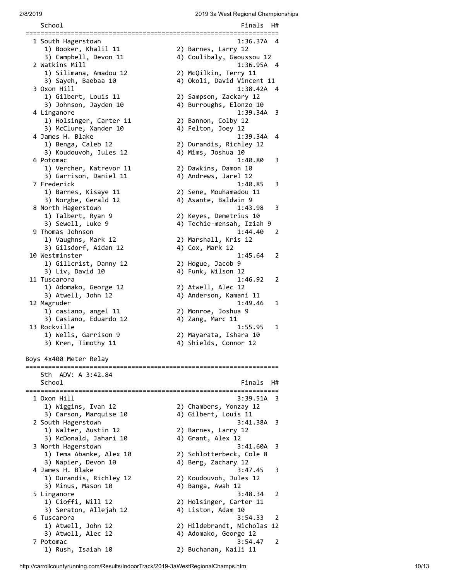School **Finals** H# =================================================================== 1 South Hagerstown 1:36.37A 4 1) Booker, Khalil 11 2) Barnes, Larry 12 3) Campbell, Devon 11 4) Coulibaly, Gaoussou 12 2 Watkins Mill 1:36.95A 4 1) Silimana, Amadou 12 2) McQilkin, Terry 11 3) Sayeh, Baebaa 10 4) Okoli, David Vincent 11 3 Oxon Hill 1:38.42A 4 1) Gilbert, Louis 11 2) Sampson, Zackary 12 3) Johnson, Jayden 10 4) Burroughs, Elonzo 10 4 Linganore 1:39.34A 3 1) Holsinger, Carter 11 2) Bannon, Colby 12 3) McClure, Xander 10 4) Felton, Joey 12 4 James H. Blake 1:39.34A 4 1) Benga, Caleb 12 2) Durandis, Richley 12 3) Koudouvoh, Jules 12 4) Mims, Joshua 10 6 Potomac 1:40.80 3 1) Vercher, Katrevor 11 2) Dawkins, Damon 10 3) Garrison, Daniel 11  $\hskip10mm$  4) Andrews, Jarel 12 7 Frederick 1:40.85 3 1) Barnes, Kisaye 11 2) Sene, Mouhamadou 11 3) Norgbe, Gerald 12 4) Asante, Baldwin 9 8 North Hagerstown 1:43.98 3 1) Talbert, Ryan 9 2) Keyes, Demetrius 10 3) Sewell, Luke 9 4) Techie-mensah, Iziah 9 9 Thomas Johnson 1:44.40 2 1) Vaughns, Mark 12 2) Marshall, Kris 12 3) Gilsdorf, Aidan 12 4) Cox, Mark 12 10 Westminster 1:45.64 2<br>1) Gillcrist, Danny 12 2) Hogue, Jacob 9 1) Gillcrist, Danny 12 3) Liv, David 10 4) Funk, Wilson 12 11 Tuscarora 1:46.92 2 1) Adomako, George 12 2) Atwell, Alec 12 3) Atwell, John 12 4) Anderson, Kamani 11 12 Magruder 1:49.46 1 1) casiano, angel 11 2) Monroe, Joshua 9 3) Casiano, Eduardo 12 4) Zang, Marc 11 13 Rockville 1:55.95 1 1) Wells, Garrison 9 2) Mayarata, Ishara 10 3) Kren, Timothy 11 4) Shields, Connor 12 Boys 4x400 Meter Relay =================================================================== 5th ADV: A 3:42.84 School **Finals** H# =================================================================== 1 Oxon Hill 3:39.51A 3 1) Wiggins, Ivan 12 2) Chambers, Yonzay 12 3) Carson, Marquise 10 4) Gilbert, Louis 11 2 South Hagerstown 3:41.38A 3 1) Walter, Austin 12 2) Barnes, Larry 12 3) McDonald, Jahari 10 4) Grant, Alex 12 3 North Hagerstown 3:41.60A 3 1) Tema Abanke, Alex 10 2) Schlotterbeck, Cole 8 3) Napier, Devon 10 4) Berg, Zachary 12 4 James H. Blake 3:47.45 3 1) Durandis, Richley 12 2) Koudouvoh, Jules 12 3) Minus, Mason 10 4) Banga, Awah 12 5 Linganore 3:48.34 2 1) Cioffi, Will 12 2) Holsinger, Carter 11<br>3) Seraton, Allejah 12 4) Liston, Adam 10 3) Seraton, Allejah 12 4) Liston, Adam 10 6 Tuscarora 3:54.33 2 1) Atwell, John 12 2) Hildebrandt, Nicholas 12 3) Atwell, Alec 12 4) Adomako, George 12 7 Potomac 3:54.47 2 1) Rush, Isaiah 10 2) Buchanan, Kaili 11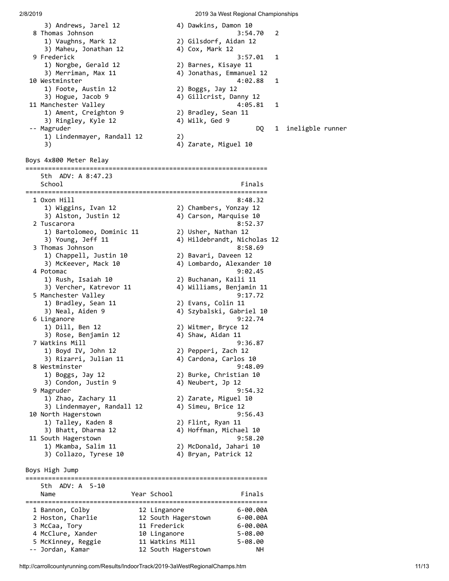3) Andrews, Jarel 12 4) Dawkins, Damon 10 8 Thomas Johnson 3:54.70 2 1) Vaughns, Mark 12 2) Gilsdorf, Aidan 12 3) Maheu, Jonathan 12 4) Cox, Mark 12 9 Frederick 3:57.01 1 1) Norgbe, Gerald 12 2) Barnes, Kisaye 11 3) Merriman, Max 11 (4) Jonathas, Emmanuel 12 10 Westminster 4:02.88 1 1) Foote, Austin 12 2) Boggs, Jay 12 3) Hogue, Jacob 9 4) Gillcrist, Danny 12 11 Manchester Valley and the control of the 4:05.81  $\,$  1  $\,$  1) Ament, Creighton 9 2) Bradley, Sean 11 3) Ringley, Kyle 12 4) Wilk, Ged 9 -- Magruder DQ 1 ineligble runner 1) Lindenmayer, Randall 12 2) 3) 4) Zarate, Miguel 10 Boys 4x800 Meter Relay ================================================================ 5th ADV: A 8:47.23 School Finals ================================================================ 1 Oxon Hill 8:48.32 1) Wiggins, Ivan 12 2) Chambers, Yonzay 12 3) Alston, Justin 12 4) Carson, Marquise 10 2 Tuscarora 8:52.37 1) Bartolomeo, Dominic 11 2) Usher, Nathan 12 3) Young, Jeff 11 4) Hildebrandt, Nicholas 12 3 Thomas Johnson 8:58.69 1) Chappell, Justin 10 2) Bavari, Daveen 12 3) McKeever, Mack 10 4) Lombardo, Alexander 10 4 Potomac 9:02.45 1) Rush, Isaiah 10 2) Buchanan, Kaili 11 3) Vercher, Katrevor 11 4) Williams, Benjamin 11 5 Manchester Valley 3:17.72 1) Bradley, Sean 11 2) Evans, Colin 11 1) Bradley, Sean 11 <br>3) Neal, Aiden 9 <br>4) Szybalski, Gabriel 10 6 Linganore 9:22.74 1) Dill, Ben 12 2) Witmer, Bryce 12 3) Rose, Benjamin 12 4) Shaw, Aidan 11 7 Watkins Mill 9:36.87 1) Boyd IV, John 12 2) Pepperi, Zach 12 3) Rizarri, Julian 11 4) Cardona, Carlos 10 8 Westminster 9:48.09 1) Boggs, Jay 12 2) Burke, Christian 10 3) Condon, Justin 9 4) Neubert, Jp 12 9 Magruder 9:54.32 1) Zhao, Zachary 11 2) Zarate, Miguel 10 3) Lindenmayer, Randall 12 4) Simeu, Brice 12 10 North Hagerstown 9:56.43 1) Talley, Kaden 8 2) Flint, Ryan 11 3) Bhatt, Dharma 12 4) Hoffman, Michael 10 11 South Hagerstown 9:58.20 1) Mkamba, Salim 11 2) McDonald, Jahari 10 3) Collazo, Tyrese 10 4) Bryan, Patrick 12 Boys High Jump ================================================================ 5th ADV: A 5-10 Name Year School Finals ================================================================ 1 Bannon, Colby 12 Linganore 6-00.00A 2 Hoston, Charlie 12 South Hagerstown 6-00.00A 3 McCaa, Tory 11 Frederick 6-00.00A

 4 McClure, Xander 10 Linganore 5-08.00 5 McKinney, Reggie 11 Watkins Mill 5-08.00 -- Jordan, Kamar 12 South Hagerstown NH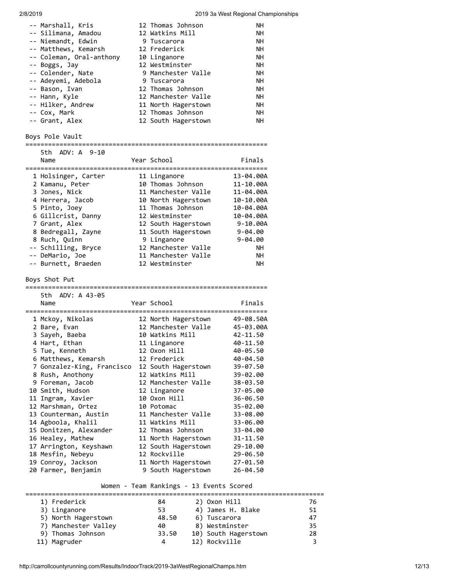| -- Marshall, Kris        | 12 Thomas Johnson   | NΗ        |
|--------------------------|---------------------|-----------|
| -- Silimana, Amadou      | 12 Watkins Mill     | <b>NH</b> |
| -- Niemandt, Edwin       | 9 Tuscarora         | <b>NH</b> |
| -- Matthews, Kemarsh     | 12 Frederick        | <b>NH</b> |
| -- Coleman, Oral-anthony | 10 Linganore        | <b>NH</b> |
| -- Boggs, Jay            | 12 Westminster      | <b>NH</b> |
| -- Colender, Nate        | 9 Manchester Valle  | <b>NH</b> |
| -- Adeyemi, Adebola      | 9 Tuscarora         | <b>NH</b> |
| -- Bason, Ivan           | 12 Thomas Johnson   | <b>NH</b> |
| -- Hann, Kyle            | 12 Manchester Valle | <b>NH</b> |
| -- Hilker, Andrew        | 11 North Hagerstown | <b>NH</b> |
| -- Cox, Mark             | 12 Thomas Johnson   | <b>NH</b> |
| -- Grant, Alex           | 12 South Hagerstown | <b>NH</b> |
|                          |                     |           |

# Boys Pole Vault

|      | 5th ADV: A 9-10 |  |             |  |        |
|------|-----------------|--|-------------|--|--------|
| Name |                 |  | Year School |  | Finals |

| 1 Holsinger, Carter | 11 Linganore        | 13-04.00A    |
|---------------------|---------------------|--------------|
| 2 Kamanu, Peter     | 10 Thomas Johnson   | 11-10.00A    |
| 3 Jones, Nick       | 11 Manchester Valle | 11-04.00A    |
| 4 Herrera, Jacob    | 10 North Hagerstown | 10-10.00A    |
| 5 Pinto, Joey       | 11 Thomas Johnson   | 10-04.00A    |
| 6 Gillcrist, Danny  | 12 Westminster      | 10-04.00A    |
| 7 Grant, Alex       | 12 South Hagerstown | $9 - 10.00A$ |
| 8 Bedregall, Zayne  | 11 South Hagerstown | $9 - 04.00$  |
| 8 Ruch, Quinn       | 9 Linganore         | $9 - 04.00$  |
| -- Schilling, Bryce | 12 Manchester Valle | <b>NH</b>    |
| -- DeMario, Joe     | 11 Manchester Valle | <b>NH</b>    |
| -- Burnett, Braeden | 12 Westminster      | <b>NH</b>    |

# Boys Shot Put

| 5th ADV: A 43-05           |                     |           |
|----------------------------|---------------------|-----------|
| Name                       | Year School         | Finals    |
| 1 Mckoy, Nikolas           | 12 North Hagerstown | 49-08.50A |
| 2 Bare, Evan               | 12 Manchester Valle | 45-03.00A |
| 3 Sayeh, Baeba             | 10 Watkins Mill     | 42-11.50  |
| 4 Hart, Ethan              | 11 Linganore        | 40-11.50  |
| 5 Tue, Kenneth             | 12 Oxon Hill        | 40-05.50  |
| 6 Matthews, Kemarsh        | 12 Frederick        | 40-04.50  |
| 7 Gonzalez-King, Francisco | 12 South Hagerstown | 39-07.50  |
| 8 Rush, Anothony           | 12 Watkins Mill     | 39-02.00  |
| 9 Foreman, Jacob           | 12 Manchester Valle | 38-03.50  |
| 10 Smith, Hudson           | 12 Linganore        | 37-05.00  |
| 11 Ingram, Xavier          | 10 Oxon Hill        | 36-06.50  |
| 12 Marshman, Ortez         | 10 Potomac          | 35-02.00  |
| 13 Counterman, Austin      | 11 Manchester Valle | 33-08.00  |
| 14 Agboola, Khalil         | 11 Watkins Mill     | 33-06.00  |
| 15 Donitzen, Alexander     | 12 Thomas Johnson   | 33-04.00  |
| 16 Healey, Mathew          | 11 North Hagerstown | 31-11.50  |
| 17 Arrington, Keyshawn     | 12 South Hagerstown | 29-10.00  |
| 18 Mesfin, Nebeyu          | 12 Rockville        | 29-06.50  |
| 19 Conroy, Jackson         | 11 North Hagerstown | 27-01.50  |
| 20 Farmer, Benjamin        | 9 South Hagerstown  | 26-04.50  |

# Women - Team Rankings - 13 Events Scored

| 1) Frederick         | 84    | 2) Oxon Hill         | 76 |
|----------------------|-------|----------------------|----|
| 3) Linganore         | 53    | 4) James H. Blake    | 51 |
| 5) North Hagerstown  | 48.50 | 6) Tuscarora         | 47 |
| 7) Manchester Valley | 40    | 8) Westminster       | 35 |
| 9) Thomas Johnson    | 33.50 | 10) South Hagerstown | 28 |
| 11) Magruder         | 4     | 12) Rockville        |    |
|                      |       |                      |    |